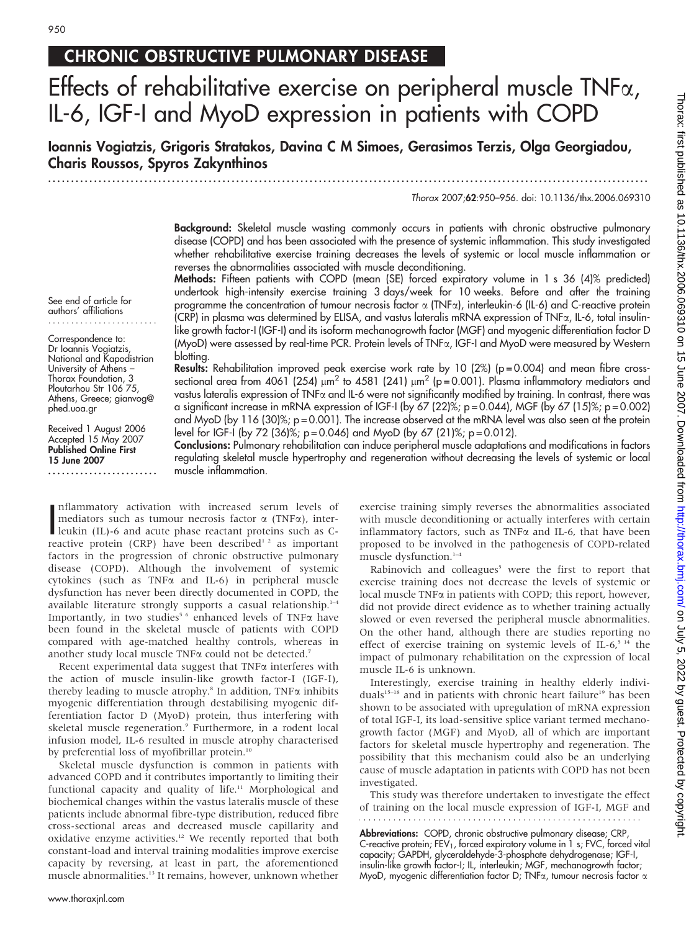See end of article for authors' affiliations ........................

Correspondence to: Dr Ioannis Vogiatzis, National and Kapodistrian University of Athens – Thorax Foundation, 3 Ploutarhou Str 106 75. Athens, Greece; gianvog@

Received 1 August 2006 Accepted 15 May 2007 Published Online First 15 June 2007

........................

phed.uoa.gr

# CHRONIC OBSTRUCTIVE PULMONARY DISEASE

# Effects of rehabilitative exercise on peripheral muscle TNFa, IL-6, IGF-I and MyoD expression in patients with COPD

Ioannis Vogiatzis, Grigoris Stratakos, Davina C M Simoes, Gerasimos Terzis, Olga Georgiadou, Charis Roussos, Spyros Zakynthinos

...................................................................................................................................

Thorax 2007;62:950–956. doi: 10.1136/thx.2006.069310

Background: Skeletal muscle wasting commonly occurs in patients with chronic obstructive pulmonary disease (COPD) and has been associated with the presence of systemic inflammation. This study investigated whether rehabilitative exercise training decreases the levels of systemic or local muscle inflammation or reverses the abnormalities associated with muscle deconditioning.

Methods: Fifteen patients with COPD (mean (SE) forced expiratory volume in 1 s 36 (4)% predicted) undertook high-intensity exercise training 3 days/week for 10 weeks. Before and after the training programme the concentration of tumour necrosis factor  $\alpha$  (TNFa), interleukin-6 (IL-6) and C-reactive protein (CRP) in plasma was determined by ELISA, and vastus lateralis mRNA expression of TNFa, IL-6, total insulinlike growth factor-I (IGF-I) and its isoform mechanogrowth factor (MGF) and myogenic differentiation factor D (MyoD) were assessed by real-time PCR. Protein levels of TNFa, IGF-I and MyoD were measured by Western blotting.

**Results:** Rehabilitation improved peak exercise work rate by 10 ( $2\%$ ) ( $p = 0.004$ ) and mean fibre crosssectional area from 4061 (254)  $\mu$ m<sup>2</sup> to 4581 (241)  $\mu$ m<sup>2</sup> (p = 0.001). Plasma inflammatory mediators and vastus lateralis expression of TNFa and IL-6 were not significantly modified by training. In contrast, there was a significant increase in mRNA expression of IGF-I (by 67 (22)%;  $p = 0.044$ ), MGF (by 67 (15)%;  $p = 0.002$ ) and MyoD (by 116 (30)%; p = 0.001). The increase observed at the mRNA level was also seen at the protein level for IGF-I (by 72 (36)%; p=0.046) and MyoD (by 67 (21)%; p=0.012).

Conclusions: Pulmonary rehabilitation can induce peripheral muscle adaptations and modifications in factors regulating skeletal muscle hypertrophy and regeneration without decreasing the levels of systemic or local muscle inflammation.

Inflammatory activation with increased serum levels of<br>mediators such as tumour necrosis factor  $\alpha$  (TNF $\alpha$ ), inter-<br>leukin (IL)-6 and acute phase reactant proteins such as C-<br>reactive protein (CPP) baye been described<sup></sup> nflammatory activation with increased serum levels of mediators such as tumour necrosis factor  $\alpha$  (TNF $\alpha$ ), interreactive protein (CRP) have been described<sup>12</sup> as important factors in the progression of chronic obstructive pulmonary disease (COPD). Although the involvement of systemic cytokines (such as TNFa and IL-6) in peripheral muscle dysfunction has never been directly documented in COPD, the available literature strongly supports a casual relationship. $1-4$ Importantly, in two studies<sup>56</sup> enhanced levels of TNF $\alpha$  have been found in the skeletal muscle of patients with COPD compared with age-matched healthy controls, whereas in another study local muscle TNF $\alpha$  could not be detected.<sup>7</sup>

Recent experimental data suggest that  $TNF\alpha$  interferes with the action of muscle insulin-like growth factor-I (IGF-I), thereby leading to muscle atrophy.<sup>8</sup> In addition, TNF $\alpha$  inhibits myogenic differentiation through destabilising myogenic differentiation factor D (MyoD) protein, thus interfering with skeletal muscle regeneration.<sup>9</sup> Furthermore, in a rodent local infusion model, IL-6 resulted in muscle atrophy characterised by preferential loss of myofibrillar protein.<sup>10</sup>

Skeletal muscle dysfunction is common in patients with advanced COPD and it contributes importantly to limiting their functional capacity and quality of life.<sup>11</sup> Morphological and biochemical changes within the vastus lateralis muscle of these patients include abnormal fibre-type distribution, reduced fibre cross-sectional areas and decreased muscle capillarity and oxidative enzyme activities.<sup>12</sup> We recently reported that both constant-load and interval training modalities improve exercise capacity by reversing, at least in part, the aforementioned muscle abnormalities.13 It remains, however, unknown whether

exercise training simply reverses the abnormalities associated with muscle deconditioning or actually interferes with certain inflammatory factors, such as  $TNF\alpha$  and IL-6, that have been proposed to be involved in the pathogenesis of COPD-related muscle dysfunction.<sup>1-4</sup>

Rabinovich and colleagues<sup>5</sup> were the first to report that exercise training does not decrease the levels of systemic or local muscle TNFa in patients with COPD; this report, however, did not provide direct evidence as to whether training actually slowed or even reversed the peripheral muscle abnormalities. On the other hand, although there are studies reporting no effect of exercise training on systemic levels of IL- $6<sup>5.14</sup>$  the impact of pulmonary rehabilitation on the expression of local muscle IL-6 is unknown.

Interestingly, exercise training in healthy elderly individuals<sup>15–18</sup> and in patients with chronic heart failure<sup>19</sup> has been shown to be associated with upregulation of mRNA expression of total IGF-I, its load-sensitive splice variant termed mechanogrowth factor (MGF) and MyoD, all of which are important factors for skeletal muscle hypertrophy and regeneration. The possibility that this mechanism could also be an underlying cause of muscle adaptation in patients with COPD has not been investigated.

This study was therefore undertaken to investigate the effect of training on the local muscle expression of IGF-I, MGF and

**Abbreviations:** COPD, chronic obstructive pulmonary disease; CRP, C-reactive protein; FEV<sub>1</sub>, forced expiratory volume in 1 s; FVC, forced vital capacity; GAPDH, glyceraldehyde-3-phosphate dehydrogenase; IGF-I, insulin-like growth factor-I; IL, interleukin; MGF, mechanogrowth factor; MyoD, myogenic differentiation factor D; TNF $\alpha$ , tumour necrosis factor  $\alpha$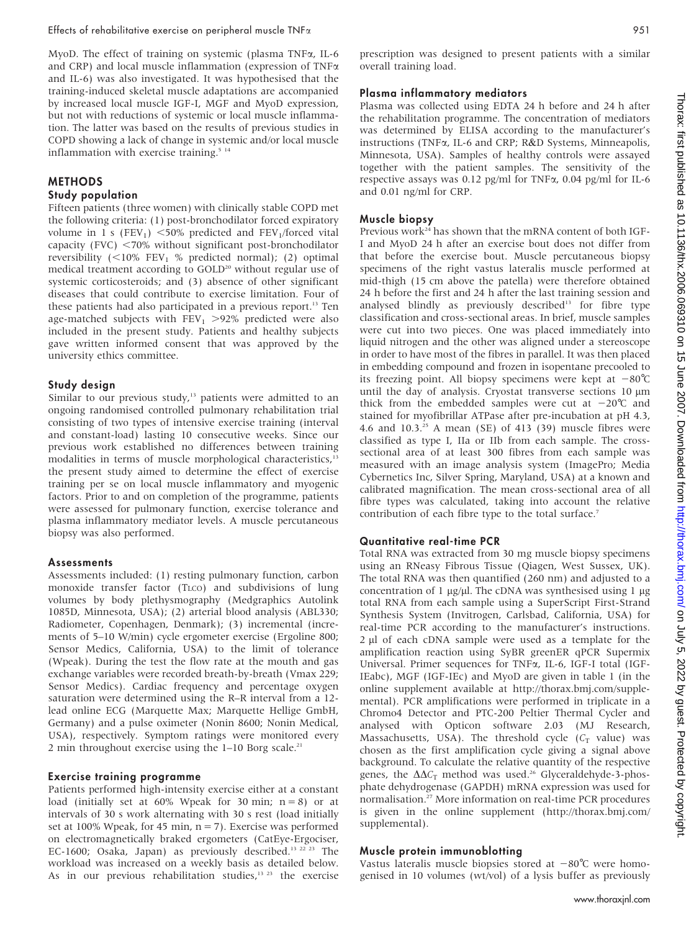MyoD. The effect of training on systemic (plasma TNF $\alpha$ , IL-6 and CRP) and local muscle inflammation (expression of  $TNF\alpha$ and IL-6) was also investigated. It was hypothesised that the training-induced skeletal muscle adaptations are accompanied by increased local muscle IGF-I, MGF and MyoD expression, but not with reductions of systemic or local muscle inflammation. The latter was based on the results of previous studies in COPD showing a lack of change in systemic and/or local muscle inflammation with exercise training.<sup>5 14</sup>

# **METHODS**

### Study population

Fifteen patients (three women) with clinically stable COPD met the following criteria: (1) post-bronchodilator forced expiratory volume in 1 s (FEV<sub>1</sub>)  $\leq$ 50% predicted and FEV<sub>1</sub>/forced vital capacity (FVC)  $<$  70% without significant post-bronchodilator reversibility  $(<10\%$  FEV<sub>1</sub> % predicted normal); (2) optimal medical treatment according to GOLD<sup>20</sup> without regular use of systemic corticosteroids; and (3) absence of other significant diseases that could contribute to exercise limitation. Four of these patients had also participated in a previous report.13 Ten age-matched subjects with  $FEV_1 > 92\%$  predicted were also included in the present study. Patients and healthy subjects gave written informed consent that was approved by the university ethics committee.

#### Study design

Similar to our previous study, $13$  patients were admitted to an ongoing randomised controlled pulmonary rehabilitation trial consisting of two types of intensive exercise training (interval and constant-load) lasting 10 consecutive weeks. Since our previous work established no differences between training modalities in terms of muscle morphological characteristics,<sup>13</sup> the present study aimed to determine the effect of exercise training per se on local muscle inflammatory and myogenic factors. Prior to and on completion of the programme, patients were assessed for pulmonary function, exercise tolerance and plasma inflammatory mediator levels. A muscle percutaneous biopsy was also performed.

#### Assessments

Assessments included: (1) resting pulmonary function, carbon monoxide transfer factor (TLCO) and subdivisions of lung volumes by body plethysmography (Medgraphics Autolink 1085D, Minnesota, USA); (2) arterial blood analysis (ABL330; Radiometer, Copenhagen, Denmark); (3) incremental (increments of 5–10 W/min) cycle ergometer exercise (Ergoline 800; Sensor Medics, California, USA) to the limit of tolerance (Wpeak). During the test the flow rate at the mouth and gas exchange variables were recorded breath-by-breath (Vmax 229; Sensor Medics). Cardiac frequency and percentage oxygen saturation were determined using the R–R interval from a 12 lead online ECG (Marquette Max; Marquette Hellige GmbH, Germany) and a pulse oximeter (Nonin 8600; Nonin Medical, USA), respectively. Symptom ratings were monitored every 2 min throughout exercise using the  $1-10$  Borg scale.<sup>21</sup>

#### Exercise training programme

Patients performed high-intensity exercise either at a constant load (initially set at  $60\%$  Wpeak for 30 min; n = 8) or at intervals of 30 s work alternating with 30 s rest (load initially set at 100% Wpeak, for 45 min, n = 7). Exercise was performed on electromagnetically braked ergometers (CatEye-Ergociser, EC-1600; Osaka, Japan) as previously described.<sup>13 22 23</sup> The workload was increased on a weekly basis as detailed below. As in our previous rehabilitation studies,<sup>13 23</sup> the exercise

prescription was designed to present patients with a similar overall training load.

#### Plasma inflammatory mediators

Plasma was collected using EDTA 24 h before and 24 h after the rehabilitation programme. The concentration of mediators was determined by ELISA according to the manufacturer's instructions (TNFa, IL-6 and CRP; R&D Systems, Minneapolis, Minnesota, USA). Samples of healthy controls were assayed together with the patient samples. The sensitivity of the respective assays was 0.12 pg/ml for TNFa, 0.04 pg/ml for IL-6 and 0.01 ng/ml for CRP.

### Muscle biopsy

Previous work<sup>24</sup> has shown that the mRNA content of both IGF-I and MyoD 24 h after an exercise bout does not differ from that before the exercise bout. Muscle percutaneous biopsy specimens of the right vastus lateralis muscle performed at mid-thigh (15 cm above the patella) were therefore obtained 24 h before the first and 24 h after the last training session and analysed blindly as previously described<sup>13</sup> for fibre type classification and cross-sectional areas. In brief, muscle samples were cut into two pieces. One was placed immediately into liquid nitrogen and the other was aligned under a stereoscope in order to have most of the fibres in parallel. It was then placed in embedding compound and frozen in isopentane precooled to its freezing point. All biopsy specimens were kept at  $-80^{\circ}$ C until the day of analysis. Cryostat transverse sections 10  $\mu$ m thick from the embedded samples were cut at  $-20^{\circ}$ C and stained for myofibrillar ATPase after pre-incubation at pH 4.3, 4.6 and  $10.3.^{25}$  A mean (SE) of 413 (39) muscle fibres were classified as type I, IIa or IIb from each sample. The crosssectional area of at least 300 fibres from each sample was measured with an image analysis system (ImagePro; Media Cybernetics Inc, Silver Spring, Maryland, USA) at a known and calibrated magnification. The mean cross-sectional area of all fibre types was calculated, taking into account the relative contribution of each fibre type to the total surface.<sup>7</sup>

#### Quantitative real-time PCR

Total RNA was extracted from 30 mg muscle biopsy specimens using an RNeasy Fibrous Tissue (Qiagen, West Sussex, UK). The total RNA was then quantified (260 nm) and adjusted to a concentration of 1  $\mu$ g/ $\mu$ l. The cDNA was synthesised using 1  $\mu$ g total RNA from each sample using a SuperScript First-Strand Synthesis System (Invitrogen, Carlsbad, California, USA) for real-time PCR according to the manufacturer's instructions. 2 µl of each cDNA sample were used as a template for the amplification reaction using SyBR greenER qPCR Supermix Universal. Primer sequences for TNFa, IL-6, IGF-I total (IGF-IEabc), MGF (IGF-IEc) and MyoD are given in table 1 (in the online supplement available at http://thorax.bmj.com/supplemental). PCR amplifications were performed in triplicate in a Chromo4 Detector and PTC-200 Peltier Thermal Cycler and analysed with Opticon software 2.03 (MJ Research, Massachusetts, USA). The threshold cycle  $(C_T$  value) was chosen as the first amplification cycle giving a signal above background. To calculate the relative quantity of the respective genes, the  $\Delta\Delta C_T$  method was used.<sup>26</sup> Glyceraldehyde-3-phosphate dehydrogenase (GAPDH) mRNA expression was used for normalisation.27 More information on real-time PCR procedures is given in the online supplement (http://thorax.bmj.com/ supplemental).

#### Muscle protein immunoblotting

Vastus lateralis muscle biopsies stored at  $-80^{\circ}$ C were homogenised in 10 volumes (wt/vol) of a lysis buffer as previously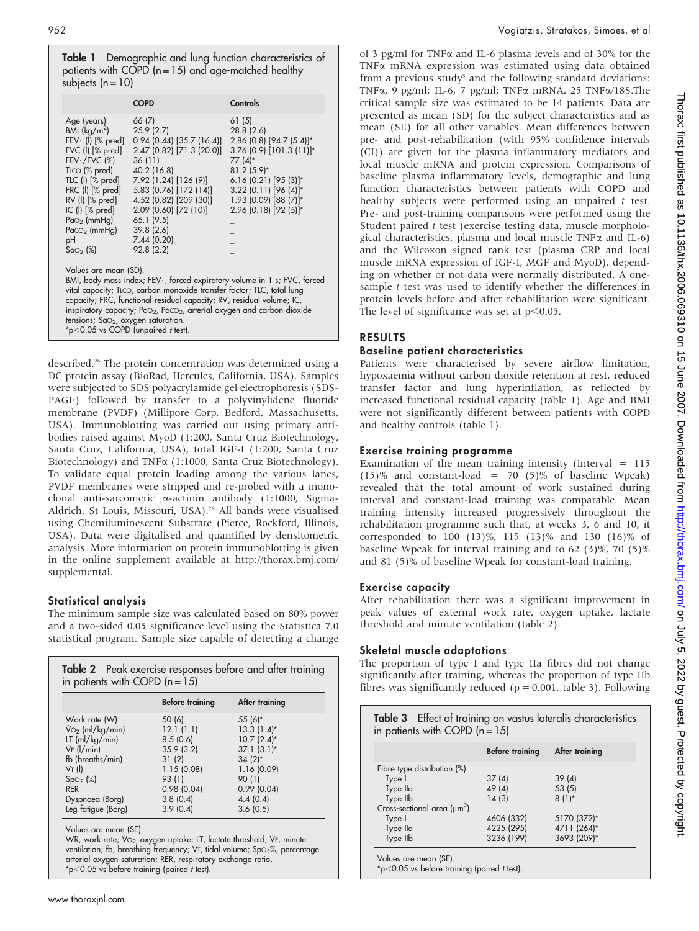Table 1 Demographic and lung function characteristics of patients with COPD  $(n = 15)$  and age-matched healthy subjects  $(n = 10)$ 

|                                                                                                                                                                                  | <b>COPD</b>                                                                                                                                                                                                                                  | Controls                                                                                                   |
|----------------------------------------------------------------------------------------------------------------------------------------------------------------------------------|----------------------------------------------------------------------------------------------------------------------------------------------------------------------------------------------------------------------------------------------|------------------------------------------------------------------------------------------------------------|
| Age (years)<br>BMI $(kq/m^2)$<br>$FEV1$ (l) $[% pred]$<br>$FVC$ ( $\parallel$ ) $\lceil\% \text{ pred}\rceil$<br>$FEV1/FVC$ (%)                                                  | 66 (7)<br>25.9(2.7)<br>$0.94$ (0.44) [35.7 (16.4)]<br>2.47 (0.82) [71.3 (20.0)]<br>36(11)<br>40.2 (16.8)                                                                                                                                     | 61 (5)<br>28.8 (2.6)<br>2.86 (0.8) [94.7 (5.4)]*<br>$3.76$ (0.9) [101.3 (11)]*<br>77 (4)*<br>$81.2(5.9)$ * |
| TLCO (% pred)<br>$TIC$ (I) $[%$ pred]<br>$FRC$ ( $\parallel$ ) $\lceil % \text{pred} \rceil$<br>$RV$ (I) $[%$ pred]<br>IC (I) [% pred]<br>$Pao_2$ (mmHg)<br>$Paco2$ (mmHg)<br>рH | 7.92 (1.24) [126 (9)]<br>5.83 (0.76) [172 (14)]<br>4.52 (0.82) [209 (30)]<br>2.09 (0.60) [72 (10)]<br>65.1(9.5)<br>39.8(2.6)<br>7.44 (0.20)                                                                                                  | 6.16 (0.21) [95 (3)]*<br>3.22 (0.11) [96 (4)]*<br>$1.93$ (0.09) [88 (7)]*<br>$2.96$ (0.18) [92 (5)]*       |
| Sao <sub>2</sub> (%)<br>Values are mean (SD).<br>$t_{\text{enacian}}$ $\epsilon_{\text{m}}$ anyman extension                                                                     | 92.8 (2.2)<br>vital capacity; TLCO, carbon monoxide transfer factor; TLC, total lung<br>capacity; FRC, functional residual capacity; RV, residual volume; IC,<br>inspiratory capacity; $PaO2$ , $PaCO2$ , arterial oxygen and carbon dioxide | BMI, body mass index; FEV <sub>1</sub> , forced expiratory volume in 1 s; FVC, forced                      |

tensions; Sa $\circ_2$ , oxygen saturation.  $*p<0.05$  vs COPD (unpaired t test).

described.<sup>26</sup> The protein concentration was determined using a DC protein assay (BioRad, Hercules, California, USA). Samples were subjected to SDS polyacrylamide gel electrophoresis (SDS-PAGE) followed by transfer to a polyvinylidene fluoride membrane (PVDF) (Millipore Corp, Bedford, Massachusetts, USA). Immunoblotting was carried out using primary antibodies raised against MyoD (1:200, Santa Cruz Biotechnology, Santa Cruz, California, USA), total IGF-I (1:200, Santa Cruz Biotechnology) and TNF $\alpha$  (1:1000, Santa Cruz Biotechnology). To validate equal protein loading among the various lanes, PVDF membranes were stripped and re-probed with a monoclonal anti-sarcomeric a-actinin antibody (1:1000, Sigma-Aldrich, St Louis, Missouri, USA).<sup>28</sup> All bands were visualised using Chemiluminescent Substrate (Pierce, Rockford, Illinois, USA). Data were digitalised and quantified by densitometric analysis. More information on protein immunoblotting is given in the online supplement available at http://thorax.bmj.com/ supplemental.

#### Statistical analysis

The minimum sample size was calculated based on 80% power and a two-sided 0.05 significance level using the Statistica 7.0 statistical program. Sample size capable of detecting a change

|                                    | <b>Before training</b> | After training  |
|------------------------------------|------------------------|-----------------|
|                                    |                        |                 |
| Work rate (W)                      | 50(6)                  | 55 (6)*         |
| $\dot{V}_{\text{O}_2}$ (ml/kg/min) | 12.1(1.1)              | $13.3(1.4)^{*}$ |
| $LT$ (ml/kg/min)                   | 8.5(0.6)               | $10.7(2.4)$ *   |
| $Ve$ ( $l/min$ )                   | 35.9(3.2)              | $37.1(3.1)^*$   |
| fb (breaths/min)                   | 31(2)                  | $34(2)$ *       |
| VT(                                | 1.15(0.08)             | 1.16(0.09)      |
| SpO <sub>2</sub> (%)               | 93 (1)                 | 90(1)           |
| <b>RER</b>                         | 0.98(0.04)             | 0.99(0.04)      |
| Dyspnoea (Borg)                    | 3.8(0.4)               | 4.4(0.4)        |
| Leg fatigue (Borg)                 | 3.9(0.4)               | 3.6(0.5)        |

Values are mean (SE).

WR, work rate; Vo<sub>2,</sub> oxygen uptake; LT, lactate threshold; VE, minute ventilation; fb, breathing frequency; VT, tidal volume; SpO<sub>2</sub>%, percentage arterial oxygen saturation; RER, respiratory exchange ratio.  $*$ p $<$ 0.05 vs before training (paired t test).

of 3 pg/ml for TNF $\alpha$  and IL-6 plasma levels and of 30% for the TNFa mRNA expression was estimated using data obtained from a previous study<sup>5</sup> and the following standard deviations: TNFa, 9 pg/ml; IL-6, 7 pg/ml; TNFa mRNA, 25 TNFa/18S.The critical sample size was estimated to be 14 patients. Data are presented as mean (SD) for the subject characteristics and as mean (SE) for all other variables. Mean differences between pre- and post-rehabilitation (with 95% confidence intervals (CI)) are given for the plasma inflammatory mediators and local muscle mRNA and protein expression. Comparisons of baseline plasma inflammatory levels, demographic and lung function characteristics between patients with COPD and healthy subjects were performed using an unpaired t test. Pre- and post-training comparisons were performed using the Student paired t test (exercise testing data, muscle morphological characteristics, plasma and local muscle  $TNF\alpha$  and IL-6) and the Wilcoxon signed rank test (plasma CRP and local muscle mRNA expression of IGF-I, MGF and MyoD), depending on whether or not data were normally distributed. A onesample t test was used to identify whether the differences in protein levels before and after rehabilitation were significant. The level of significance was set at  $p<0.05$ .

# RESULTS

## Baseline patient characteristics

Patients were characterised by severe airflow limitation, hypoxaemia without carbon dioxide retention at rest, reduced transfer factor and lung hyperinflation, as reflected by increased functional residual capacity (table 1). Age and BMI were not significantly different between patients with COPD and healthy controls (table 1).

## Exercise training programme

Examination of the mean training intensity (interval  $= 115$ ) (15)% and constant-load = 70 (5)% of baseline Wpeak) revealed that the total amount of work sustained during interval and constant-load training was comparable. Mean training intensity increased progressively throughout the rehabilitation programme such that, at weeks 3, 6 and 10, it corresponded to 100 (13)%, 115 (13)% and 130 (16)% of baseline Wpeak for interval training and to 62 (3)%, 70 (5)% and 81 (5)% of baseline Wpeak for constant-load training.

#### Exercise capacity

After rehabilitation there was a significant improvement in peak values of external work rate, oxygen uptake, lactate threshold and minute ventilation (table 2).

# Skeletal muscle adaptations

The proportion of type I and type IIa fibres did not change significantly after training, whereas the proportion of type IIb fibres was significantly reduced ( $p = 0.001$ , table 3). Following

| in patients with COPD $(n = 15)$ |                 |                |  |
|----------------------------------|-----------------|----------------|--|
|                                  | Before training | After training |  |
| Fibre type distribution (%)      |                 |                |  |
| Type I                           | 37(4)           | 39(4)          |  |
| Type Ila                         | 49(4)           | 53(5)          |  |
| Type IIb                         | 14(3)           | $8(1)^{*}$     |  |
| Cross-sectional area $(\mu m^2)$ |                 |                |  |
| Type I                           | 4606 (332)      | 5170 (372)*    |  |
| Type lla                         | 4225 (295)      | 4711 (264)*    |  |
| Type IIb                         | 3236 (199)      | 3693 (209)*    |  |

 $*p<0.05$  vs before training (paired t test).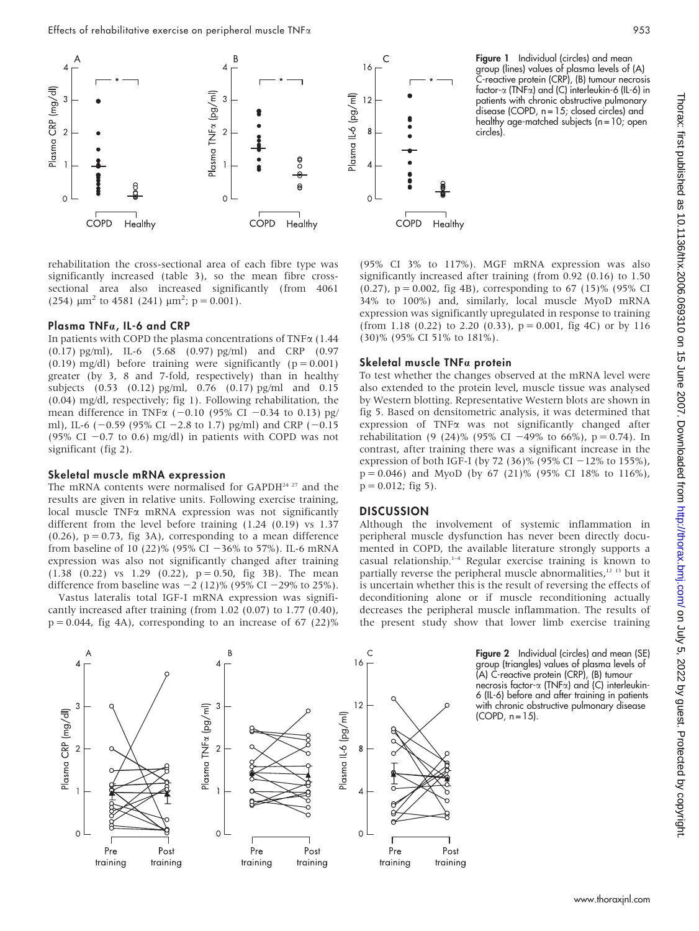

rehabilitation the cross-sectional area of each fibre type was significantly increased (table 3), so the mean fibre crosssectional area also increased significantly (from 4061 (254)  $\mu$ m<sup>2</sup> to 4581 (241)  $\mu$ m<sup>2</sup>; p = 0.001).

### Plasma TNFa, IL-6 and CRP

In patients with COPD the plasma concentrations of TNF $\alpha$  (1.44 (0.17) pg/ml), IL-6 (5.68 (0.97) pg/ml) and CRP (0.97  $(0.19)$  mg/dl) before training were significantly  $(p = 0.001)$ greater (by 3, 8 and 7-fold, respectively) than in healthy subjects (0.53 (0.12) pg/ml, 0.76 (0.17) pg/ml and 0.15 (0.04) mg/dl, respectively; fig 1). Following rehabilitation, the mean difference in TNF $\alpha$  (-0.10 (95% CI -0.34 to 0.13) pg/ ml), IL-6 (-0.59 (95% CI -2.8 to 1.7) pg/ml) and CRP (-0.15 (95% CI  $-0.7$  to 0.6) mg/dl) in patients with COPD was not significant (fig 2).

#### Skeletal muscle mRNA expression

The mRNA contents were normalised for GAPDH<sup>24 27</sup> and the results are given in relative units. Following exercise training,  $local$  muscle TNF $\alpha$  mRNA expression was not significantly different from the level before training (1.24 (0.19) vs 1.37  $(0.26)$ ,  $p = 0.73$ , fig 3A), corresponding to a mean difference from baseline of 10 (22)% (95% CI  $-36%$  to 57%). IL-6 mRNA expression was also not significantly changed after training  $(1.38 \t(0.22) \tvs 1.29 \t(0.22), p = 0.50, fig 3B)$ . The mean difference from baseline was  $-2$  (12)% (95% CI  $-29%$  to 25%).

Vastus lateralis total IGF-I mRNA expression was significantly increased after training (from 1.02 (0.07) to 1.77 (0.40),  $p = 0.044$ , fig 4A), corresponding to an increase of 67 (22)% (95% CI 3% to 117%). MGF mRNA expression was also significantly increased after training (from 0.92 (0.16) to 1.50 (0.27),  $p = 0.002$ , fig 4B), corresponding to 67 (15)% (95% CI 34% to 100%) and, similarly, local muscle MyoD mRNA expression was significantly upregulated in response to training (from 1.18 (0.22) to 2.20 (0.33),  $p = 0.001$ , fig 4C) or by 116 (30)% (95% CI 51% to 181%).

circles).

### Skeletal muscle TNFa protein

To test whether the changes observed at the mRNA level were also extended to the protein level, muscle tissue was analysed by Western blotting. Representative Western blots are shown in fig 5. Based on densitometric analysis, it was determined that expression of  $TNF\alpha$  was not significantly changed after rehabilitation (9 (24)% (95% CI -49% to 66%), p = 0.74). In contrast, after training there was a significant increase in the expression of both IGF-I (by 72 (36)% (95% CI  $-12%$  to 155%),  $p = 0.046$ ) and MyoD (by 67 (21)% (95% CI 18% to 116%),  $p = 0.012$ ; fig 5).

#### **DISCUSSION**

Although the involvement of systemic inflammation in peripheral muscle dysfunction has never been directly documented in COPD, the available literature strongly supports a casual relationship.1–4 Regular exercise training is known to partially reverse the peripheral muscle abnormalities,<sup>12 13</sup> but it is uncertain whether this is the result of reversing the effects of deconditioning alone or if muscle reconditioning actually decreases the peripheral muscle inflammation. The results of the present study show that lower limb exercise training



Figure 2 Individual (circles) and mean (SE) group (triangles) values of plasma levels of (A) C-reactive protein (CRP), (B) tumour necrosis factor-a (TNFa) and (C) interleukin-6 (IL-6) before and after training in patients with chronic obstructive pulmonary disease  $(COPD, n = 15)$ .

Figure 1 Individual (circles) and mean group (lines) values of plasma levels of (A) C-reactive protein (CRP), (B) tumour necrosis factor-a (TNFa) and (C) interleukin-6 (IL-6) in patients with chronic obstructive pulmonary disease (COPD, n = 15; closed circles) and healthy age-matched subjects ( $n = 10$ ; open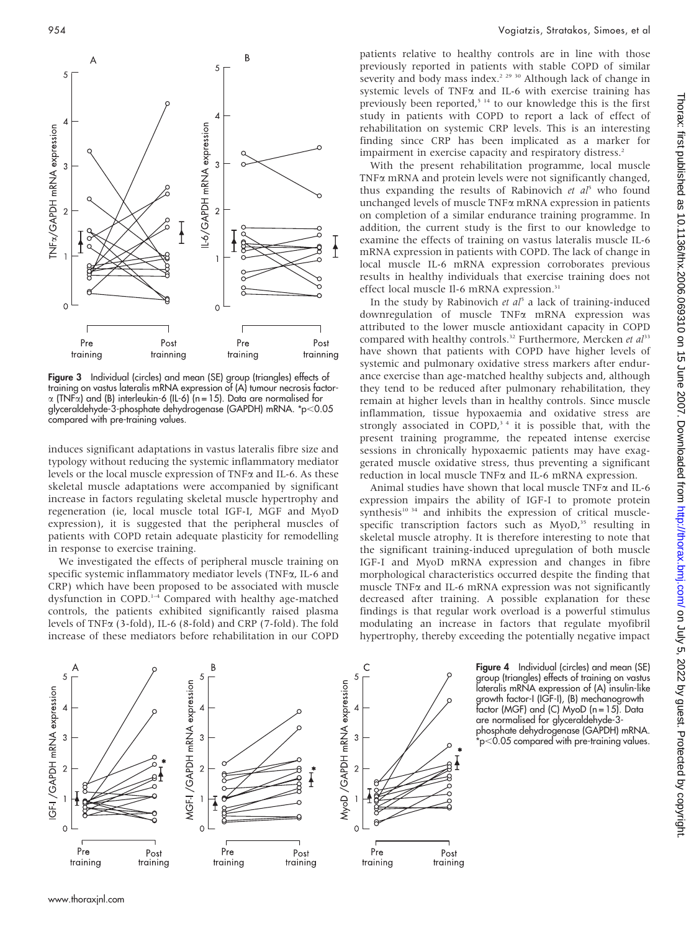

Figure 3 Individual (circles) and mean (SE) group (triangles) effects of training on vastus lateralis mRNA expression of (A) tumour necrosis factor- $\alpha$  (TNF $\alpha$ ) and (B) interleukin-6 (IL-6) (n = 15). Data are normalised for glyceraldehyde-3-phosphate dehydrogenase (GAPDH) mRNA. \*p<0.05 compared with pre-training values.

induces significant adaptations in vastus lateralis fibre size and typology without reducing the systemic inflammatory mediator levels or the local muscle expression of TNFa and IL-6. As these skeletal muscle adaptations were accompanied by significant increase in factors regulating skeletal muscle hypertrophy and regeneration (ie, local muscle total IGF-I, MGF and MyoD expression), it is suggested that the peripheral muscles of patients with COPD retain adequate plasticity for remodelling in response to exercise training.

We investigated the effects of peripheral muscle training on specific systemic inflammatory mediator levels (TNFa, IL-6 and CRP) which have been proposed to be associated with muscle dysfunction in COPD.1–4 Compared with healthy age-matched controls, the patients exhibited significantly raised plasma levels of TNFa (3-fold), IL-6 (8-fold) and CRP (7-fold). The fold increase of these mediators before rehabilitation in our COPD

patients relative to healthy controls are in line with those previously reported in patients with stable COPD of similar severity and body mass index.<sup>2 29</sup> <sup>30</sup> Although lack of change in systemic levels of TNF $\alpha$  and IL-6 with exercise training has previously been reported,<sup>5 14</sup> to our knowledge this is the first study in patients with COPD to report a lack of effect of rehabilitation on systemic CRP levels. This is an interesting finding since CRP has been implicated as a marker for impairment in exercise capacity and respiratory distress.<sup>2</sup>

With the present rehabilitation programme, local muscle TNFa mRNA and protein levels were not significantly changed, thus expanding the results of Rabinovich et  $al<sup>5</sup>$  who found unchanged levels of muscle TNFa mRNA expression in patients on completion of a similar endurance training programme. In addition, the current study is the first to our knowledge to examine the effects of training on vastus lateralis muscle IL-6 mRNA expression in patients with COPD. The lack of change in local muscle IL-6 mRNA expression corroborates previous results in healthy individuals that exercise training does not effect local muscle Il-6 mRNA expression.<sup>31</sup>

In the study by Rabinovich et  $aI<sup>5</sup>$  a lack of training-induced downregulation of muscle TNFa mRNA expression was attributed to the lower muscle antioxidant capacity in COPD compared with healthy controls.<sup>32</sup> Furthermore, Mercken et al<sup>33</sup> have shown that patients with COPD have higher levels of systemic and pulmonary oxidative stress markers after endurance exercise than age-matched healthy subjects and, although they tend to be reduced after pulmonary rehabilitation, they remain at higher levels than in healthy controls. Since muscle inflammation, tissue hypoxaemia and oxidative stress are strongly associated in COPD, $34$  it is possible that, with the present training programme, the repeated intense exercise sessions in chronically hypoxaemic patients may have exaggerated muscle oxidative stress, thus preventing a significant reduction in local muscle TNFa and IL-6 mRNA expression.

Animal studies have shown that local muscle TNF<sub>a</sub> and IL-6 expression impairs the ability of IGF-I to promote protein synthesis<sup>10 34</sup> and inhibits the expression of critical musclespecific transcription factors such as MyoD,<sup>35</sup> resulting in skeletal muscle atrophy. It is therefore interesting to note that the significant training-induced upregulation of both muscle IGF-I and MyoD mRNA expression and changes in fibre morphological characteristics occurred despite the finding that muscle TNF $\alpha$  and IL-6 mRNA expression was not significantly decreased after training. A possible explanation for these findings is that regular work overload is a powerful stimulus modulating an increase in factors that regulate myofibril hypertrophy, thereby exceeding the potentially negative impact



Figure 4 Individual (circles) and mean (SE) group (triangles) effects of training on vastus lateralis mRNA expression of (A) insulin-like growth factor-I (IGF-I), (B) mechanogrowth factor (MGF) and (C) MyoD (n = 15). Data are normalised for glyceraldehyde-3 phosphate dehydrogenase (GAPDH) mRNA.  $\star$ p $<$ 0.05 compared with pre-training values.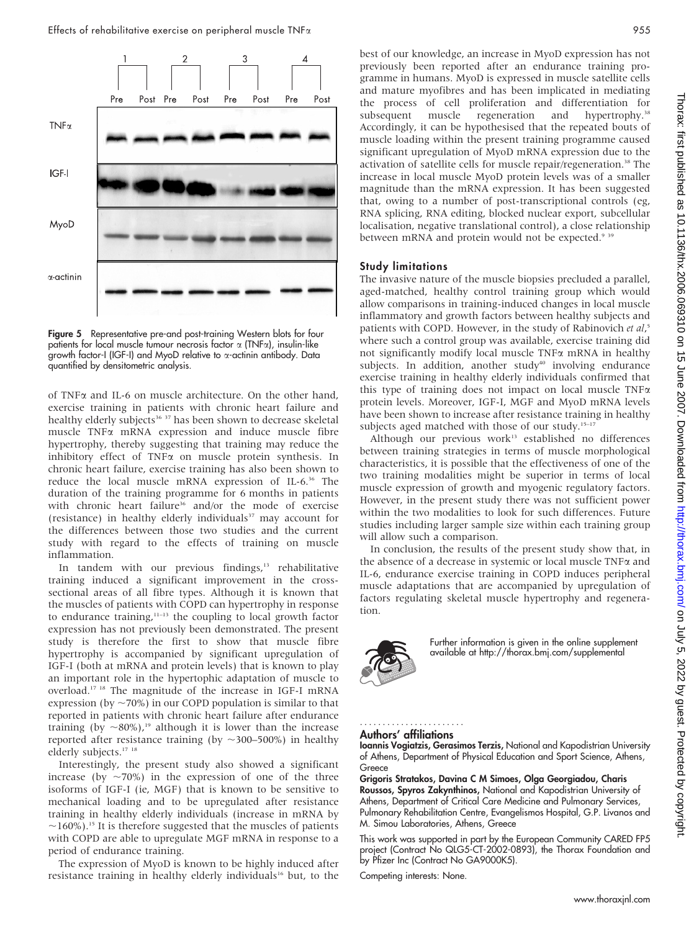

Figure 5 Representative pre-and post-training Western blots for four patients for local muscle tumour necrosis factor  $\alpha$  (TNF $\alpha$ ), insulin-like growth factor-I (IGF-I) and MyoD relative to a-actinin antibody. Data quantified by densitometric analysis.

of TNFa and IL-6 on muscle architecture. On the other hand, exercise training in patients with chronic heart failure and healthy elderly subjects<sup>36</sup> <sup>37</sup> has been shown to decrease skeletal muscle TNFa mRNA expression and induce muscle fibre hypertrophy, thereby suggesting that training may reduce the inhibitory effect of TNF $\alpha$  on muscle protein synthesis. In chronic heart failure, exercise training has also been shown to reduce the local muscle mRNA expression of IL-6.36 The duration of the training programme for 6 months in patients with chronic heart failure<sup>36</sup> and/or the mode of exercise (resistance) in healthy elderly individuals $37$  may account for the differences between those two studies and the current study with regard to the effects of training on muscle inflammation.

In tandem with our previous findings,<sup>13</sup> rehabilitative training induced a significant improvement in the crosssectional areas of all fibre types. Although it is known that the muscles of patients with COPD can hypertrophy in response to endurance training, $11-13$  the coupling to local growth factor expression has not previously been demonstrated. The present study is therefore the first to show that muscle fibre hypertrophy is accompanied by significant upregulation of IGF-I (both at mRNA and protein levels) that is known to play an important role in the hypertophic adaptation of muscle to overload.17 18 The magnitude of the increase in IGF-I mRNA expression (by  $\sim$ 70%) in our COPD population is similar to that reported in patients with chronic heart failure after endurance training (by  $\sim 80\%$ ),<sup>19</sup> although it is lower than the increase reported after resistance training (by  $\sim$ 300–500%) in healthy elderly subjects.<sup>17 18</sup>

Interestingly, the present study also showed a significant increase (by  $\sim$ 70%) in the expression of one of the three isoforms of IGF-I (ie, MGF) that is known to be sensitive to mechanical loading and to be upregulated after resistance training in healthy elderly individuals (increase in mRNA by  $\sim$ 160%).<sup>15</sup> It is therefore suggested that the muscles of patients with COPD are able to upregulate MGF mRNA in response to a period of endurance training.

The expression of MyoD is known to be highly induced after resistance training in healthy elderly individuals<sup>16</sup> but, to the

best of our knowledge, an increase in MyoD expression has not previously been reported after an endurance training programme in humans. MyoD is expressed in muscle satellite cells and mature myofibres and has been implicated in mediating the process of cell proliferation and differentiation for subsequent muscle regeneration and hypertrophy.<sup>38</sup> Accordingly, it can be hypothesised that the repeated bouts of muscle loading within the present training programme caused significant upregulation of MyoD mRNA expression due to the activation of satellite cells for muscle repair/regeneration.<sup>38</sup> The increase in local muscle MyoD protein levels was of a smaller magnitude than the mRNA expression. It has been suggested that, owing to a number of post-transcriptional controls (eg, RNA splicing, RNA editing, blocked nuclear export, subcellular localisation, negative translational control), a close relationship between mRNA and protein would not be expected.<sup>9 39</sup>

#### Study limitations

The invasive nature of the muscle biopsies precluded a parallel, aged-matched, healthy control training group which would allow comparisons in training-induced changes in local muscle inflammatory and growth factors between healthy subjects and patients with COPD. However, in the study of Rabinovich et al,<sup>5</sup> where such a control group was available, exercise training did not significantly modify local muscle  $TNF\alpha$  mRNA in healthy subjects. In addition, another study<sup>40</sup> involving endurance exercise training in healthy elderly individuals confirmed that this type of training does not impact on local muscle  $TNF\alpha$ protein levels. Moreover, IGF-I, MGF and MyoD mRNA levels have been shown to increase after resistance training in healthy subjects aged matched with those of our study.<sup>15-17</sup>

Although our previous work<sup>13</sup> established no differences between training strategies in terms of muscle morphological characteristics, it is possible that the effectiveness of one of the two training modalities might be superior in terms of local muscle expression of growth and myogenic regulatory factors. However, in the present study there was not sufficient power within the two modalities to look for such differences. Future studies including larger sample size within each training group will allow such a comparison.

In conclusion, the results of the present study show that, in the absence of a decrease in systemic or local muscle TNFa and IL-6, endurance exercise training in COPD induces peripheral muscle adaptations that are accompanied by upregulation of factors regulating skeletal muscle hypertrophy and regeneration.



Further information is given in the online supplement available at http://thorax.bmj.com/supplemental

#### Authors' affiliations .......................

#### Ioannis Vogiatzis, Gerasimos Terzis, National and Kapodistrian University of Athens, Department of Physical Education and Sport Science, Athens, Greece

Grigoris Stratakos, Davina C M Simoes, Olga Georgiadou, Charis Roussos, Spyros Zakynthinos, National and Kapodistrian University of Athens, Department of Critical Care Medicine and Pulmonary Services, Pulmonary Rehabilitation Centre, Evangelismos Hospital, G.P. Livanos and M. Simou Laboratories, Athens, Greece

This work was supported in part by the European Community CARED FP5 project (Contract No QLG5-CT-2002-0893), the Thorax Foundation and by Pfizer Inc (Contract No GA9000K5).

Competing interests: None.